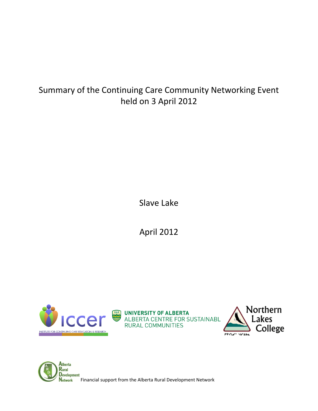# Summary of the Continuing Care Community Networking Event held on 3 April 2012

Slave Lake

April 2012



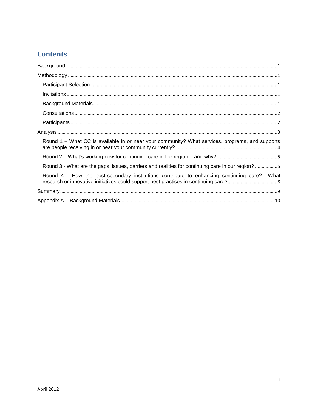# **Contents**

| $\textbf{Background}.\textcolor{blue}{\textbf{m}=\textbf{0.17}}\textcolor{blue}{.}$              |
|--------------------------------------------------------------------------------------------------|
|                                                                                                  |
|                                                                                                  |
|                                                                                                  |
|                                                                                                  |
|                                                                                                  |
|                                                                                                  |
|                                                                                                  |
| Round 1 – What CC is available in or near your community? What services, programs, and supports  |
|                                                                                                  |
| Round 3 - What are the gaps, issues, barriers and realities for continuing care in our region? 5 |
| Round 4 - How the post-secondary institutions contribute to enhancing continuing care? What      |
|                                                                                                  |
|                                                                                                  |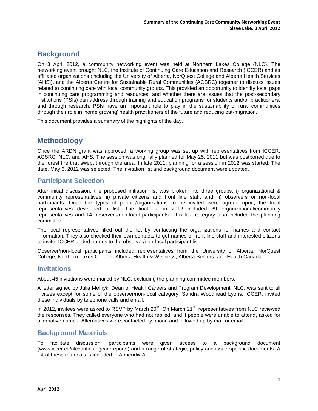# <span id="page-2-0"></span>**Background**

On 3 April 2012, a community networking event was held at Northern Lakes College (NLC). The networking event brought NLC, the Institute of Continuing Care Education and Research (ICCER) and its affiliated organizations (including the University of Alberta, NorQuest College and Alberta Health Services [AHS]), and the Alberta Centre for Sustainable Rural Communities (ACSRC) together to discuss issues related to continuing care with local community groups. This provided an opportunity to identify local gaps in continuing care programming and resources, and whether there are issues that the post-secondary institutions (PSIs) can address through training and education programs for students and/or practitioners, and through research. PSIs have an important role to play in the sustainability of rural communities through their role in 'home growing' health practitioners of the future and reducing out-migration.

<span id="page-2-1"></span>This document provides a summary of the highlights of the day.

# **Methodology**

Once the ARDN grant was approved, a working group was set up with representatives from ICCER, ACSRC, NLC, and AHS. The session was originally planned for May 25, 2011 but was postponed due to the forest fire that swept through the area. In late 2011, planning for a session in 2012 was started. The date, May 3, 2012 was selected. The invitation list and background document were updated.

### <span id="page-2-2"></span>**Participant Selection**

After initial discussion, the proposed initiation list was broken into three groups: i) organizational & community representatives; ii) private citizens and front line staff; and iii) observers or non-local participants. Once the types of people/organizations to be invited were agreed upon, the local representatives developed a list. The final list in 2012 included 39 organizational/community representatives and 14 observers/non-local participants. This last category also included the planning committee.

The local representatives filled out the list by contacting the organizations for names and contact information. They also checked their own contacts to get names of front line staff and interested citizens to invite. ICCER added names to the observer/non-local participant list.

Observer/non-local participants included representatives from the University of Alberta, NorQuest College, Northern Lakes College, Alberta Health & Wellness, Alberta Seniors, and Health Canada.

### <span id="page-2-3"></span>**Invitations**

About 45 invitations were mailed by NLC, excluding the planning committee members.

A letter signed by Julia Melnyk, Dean of Health Careers and Program Development, NLC, was sent to all invitees except for some of the observer/non-local category. Sandra Woodhead Lyons, ICCER, invited these individuals by telephone calls and email.

In 2012, invitees were asked to RSVP by March  $20^{th}$ . On March  $21^{st}$ , representatives from NLC reviewed the responses. They called everyone who had not replied, and if people were unable to attend, asked for alternative names. Alternatives were contacted by phone and followed up by mail or email.

### <span id="page-2-4"></span>**Background Materials**

To facilitate discussion, participants were given access to a background document (www.iccer.ca/nlccontinuingcarereports) and a range of strategic, policy and issue-specific documents. A list of these materials is included in Appendix A.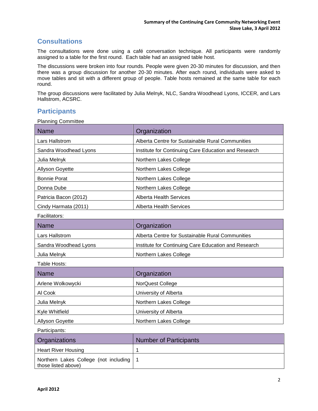# <span id="page-3-0"></span>**Consultations**

The consultations were done using a café conversation technique. All participants were randomly assigned to a table for the first round. Each table had an assigned table host.

The discussions were broken into four rounds. People were given 20-30 minutes for discussion, and then there was a group discussion for another 20-30 minutes. After each round, individuals were asked to move tables and sit with a different group of people. Table hosts remained at the same table for each round.

The group discussions were facilitated by Julia Melnyk, NLC, Sandra Woodhead Lyons, ICCER, and Lars Hallstrom, ACSRC.

### <span id="page-3-1"></span>**Participants**

Planning Committee

| <b>Name</b>            | Organization                                         |  |  |
|------------------------|------------------------------------------------------|--|--|
| Lars Hallstrom         | Alberta Centre for Sustainable Rural Communities     |  |  |
| Sandra Woodhead Lyons  | Institute for Continuing Care Education and Research |  |  |
| Julia Melnyk           | Northern Lakes College                               |  |  |
| <b>Allyson Goyette</b> | Northern Lakes College                               |  |  |
| <b>Bonnie Porat</b>    | Northern Lakes College                               |  |  |
| Donna Dube             | Northern Lakes College                               |  |  |
| Patricia Bacon (2012)  | Alberta Health Services                              |  |  |
| Cindy Harmata (2011)   | Alberta Health Services                              |  |  |

Facilitators:

| <b>Name</b>           | Organization                                         |
|-----------------------|------------------------------------------------------|
| Lars Hallstrom        | Alberta Centre for Sustainable Rural Communities     |
| Sandra Woodhead Lyons | Institute for Continuing Care Education and Research |
| Julia Melnyk          | Northern Lakes College                               |

Table Hosts:

| <b>Name</b>            | Organization            |
|------------------------|-------------------------|
| Arlene Wolkowycki      | <b>NorQuest College</b> |
| Al Cook                | University of Alberta   |
| Julia Melnyk           | Northern Lakes College  |
| Kyle Whitfield         | University of Alberta   |
| <b>Allyson Goyette</b> | Northern Lakes College  |

Participants:

| <b>Organizations</b>                                             | <b>Number of Participants</b> |
|------------------------------------------------------------------|-------------------------------|
| <b>Heart River Housing</b>                                       |                               |
| Northern Lakes College (not including   1<br>those listed above) |                               |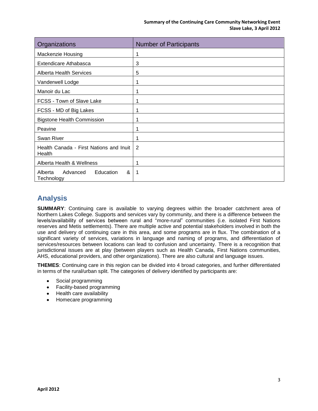| Organizations                                       | <b>Number of Participants</b> |
|-----------------------------------------------------|-------------------------------|
| Mackenzie Housing                                   |                               |
| <b>Extendicare Athabasca</b>                        | 3                             |
| <b>Alberta Health Services</b>                      | 5                             |
| Vanderwell Lodge                                    | 1                             |
| Manoir du Lac                                       | 1                             |
| FCSS - Town of Slave Lake                           |                               |
| FCSS - MD of Big Lakes                              |                               |
| <b>Bigstone Health Commission</b>                   |                               |
| Peavine                                             |                               |
| Swan River                                          | 1                             |
| Health Canada - First Nations and Inuit<br>Health   | 2                             |
| Alberta Health & Wellness                           | 1                             |
| &<br>Advanced<br>Education<br>Alberta<br>Technology |                               |

# <span id="page-4-0"></span>**Analysis**

**SUMMARY**: Continuing care is available to varying degrees within the broader catchment area of Northern Lakes College. Supports and services vary by community, and there is a difference between the levels/availability of services between rural and "more-rural" communities (i.e. isolated First Nations reserves and Metis settlements). There are multiple active and potential stakeholders involved in both the use and delivery of continuing care in this area, and some programs are in flux. The combination of a significant variety of services, variations in language and naming of programs, and differentiation of services/resources between locations can lead to confusion and uncertainty. There is a recognition that jurisdictional issues are at play (between players such as Health Canada, First Nations communities, AHS, educational providers, and other organizations). There are also cultural and language issues.

**THEMES**: Continuing care in this region can be divided into 4 broad categories, and further differentiated in terms of the rural/urban split. The categories of delivery identified by participants are:

- Social programming
- Facility-based programming
- Health care availability
- Homecare programming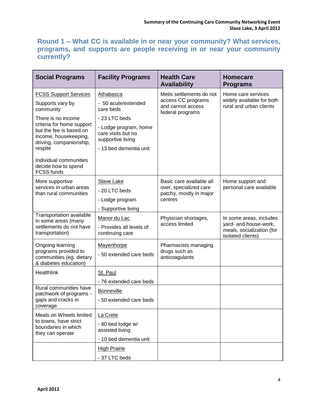# <span id="page-5-0"></span>**Round 1 – What CC is available in or near your community? What services, programs, and supports are people receiving in or near your community currently?**

| <b>Social Programs</b>                                                                                   | <b>Facility Programs</b>                                         | <b>Health Care</b><br><b>Availability</b>                   | <b>Homecare</b><br><b>Programs</b>                                         |  |  |
|----------------------------------------------------------------------------------------------------------|------------------------------------------------------------------|-------------------------------------------------------------|----------------------------------------------------------------------------|--|--|
| <b>FCSS Support Services</b>                                                                             | Athabasca                                                        | Metis settlements do not                                    | Home care services<br>widely available for both<br>rural and urban clients |  |  |
| Supports vary by<br>community                                                                            | - 50 acute/extended<br>care beds                                 | access CC programs<br>and cannot access<br>federal programs |                                                                            |  |  |
| There is no income                                                                                       | - 23 LTC beds                                                    |                                                             |                                                                            |  |  |
| criteria for home support<br>but the fee is based on<br>income, housekeeping,<br>driving, companionship, | - Lodge program, home<br>care visits but no<br>supportive living |                                                             |                                                                            |  |  |
| respite                                                                                                  | - 13 bed dementia unit                                           |                                                             |                                                                            |  |  |
| Individual communities<br>decide how to spend<br><b>FCSS funds</b>                                       |                                                                  |                                                             |                                                                            |  |  |
| More supportive                                                                                          | Slave Lake                                                       | Basic care available all                                    | Home support and                                                           |  |  |
| services in urban areas<br>than rural communities                                                        | - 20 LTC beds                                                    | over, specialized care<br>patchy, mostly in major           | personal care available                                                    |  |  |
|                                                                                                          | - Lodge program                                                  | centres                                                     |                                                                            |  |  |
|                                                                                                          | - Supportive living                                              |                                                             |                                                                            |  |  |
| <b>Transportation available</b><br>in some areas (many                                                   | Manor du Lac                                                     | Physician shortages,                                        | In some areas, includes                                                    |  |  |
| settlements do not have<br>transportation)                                                               | - Provides all levels of<br>continuing care                      | access limited                                              | yard- and house-work,<br>meals, socialization (for<br>isolated clients)    |  |  |
| Ongoing learning                                                                                         | Mayerthorpe                                                      | Pharmacists managing                                        |                                                                            |  |  |
| programs provided to<br>communities (eg. dietary<br>& diabetes education)                                | - 50 extended care beds                                          | drugs such as<br>anticoagulants                             |                                                                            |  |  |
| Healthlink                                                                                               | St. Paul                                                         |                                                             |                                                                            |  |  |
|                                                                                                          | - 76 extended care beds                                          |                                                             |                                                                            |  |  |
| Rural communities have<br>patchwork of programs -                                                        | <b>Bonneville</b>                                                |                                                             |                                                                            |  |  |
| gaps and cracks in<br>coverage                                                                           | - 50 extended care beds                                          |                                                             |                                                                            |  |  |
| Meals on Wheels limited                                                                                  | La Crete                                                         |                                                             |                                                                            |  |  |
| to towns, have strict<br>boundaries in which<br>they can operate                                         | - 80 bed lodge w/<br>assisted living                             |                                                             |                                                                            |  |  |
|                                                                                                          | - 10 bed dementia unit                                           |                                                             |                                                                            |  |  |
|                                                                                                          | <b>High Prairie</b>                                              |                                                             |                                                                            |  |  |
|                                                                                                          | - 37 LTC beds                                                    |                                                             |                                                                            |  |  |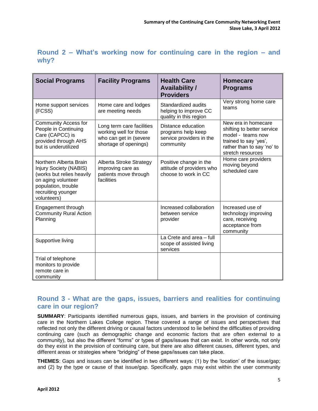| <b>Social Programs</b>                                                                                                                                                 | <b>Facility Programs</b>                                                                               | <b>Health Care</b><br><b>Availability /</b><br><b>Providers</b>                   | <b>Homecare</b><br><b>Programs</b>                                                                                                                 |
|------------------------------------------------------------------------------------------------------------------------------------------------------------------------|--------------------------------------------------------------------------------------------------------|-----------------------------------------------------------------------------------|----------------------------------------------------------------------------------------------------------------------------------------------------|
| Home support services<br>(FCSS)                                                                                                                                        | Home care and lodges<br>are meeting needs                                                              | Standardized audits<br>helping to improve CC<br>quality in this region            | Very strong home care<br>teams                                                                                                                     |
| <b>Community Access for</b><br>People in Continuing<br>Care (CAPCC) is<br>provided through AHS<br>but is underutilized                                                 | Long term care facilities<br>working well for those<br>who can get in (severe<br>shortage of openings) | Distance education<br>programs help keep<br>service providers in the<br>community | New era in homecare<br>shifting to better service<br>model - teams now<br>trained to say 'yes',<br>rather than to say 'no' to<br>stretch resources |
| Northern Alberta Brain<br><b>Injury Society (NABIS)</b><br>(works but relies heavily<br>on aging volunteer<br>population, trouble<br>recruiting younger<br>volunteers) | Alberta Stroke Strategy<br>improving care as<br>patients move through<br>facilities                    | Positive change in the<br>attitude of providers who<br>choose to work in CC       | Home care providers<br>moving beyond<br>scheduled care                                                                                             |
| Engagement through<br><b>Community Rural Action</b><br>Planning                                                                                                        |                                                                                                        | Increased collaboration<br>between service<br>provider                            | Increased use of<br>technology improving<br>care, receiving<br>acceptance from<br>community                                                        |
| Supportive living                                                                                                                                                      |                                                                                                        | La Crete and area - full<br>scope of assisted living<br>services                  |                                                                                                                                                    |
| Trial of telephone<br>monitors to provide<br>remote care in<br>community                                                                                               |                                                                                                        |                                                                                   |                                                                                                                                                    |

<span id="page-6-0"></span>

|      |  |  | Round 2 – What's working now for continuing care in the region $-$ and |  |  |  |
|------|--|--|------------------------------------------------------------------------|--|--|--|
| why? |  |  |                                                                        |  |  |  |

# <span id="page-6-1"></span>**Round 3 - What are the gaps, issues, barriers and realities for continuing care in our region?**

**SUMMARY**: Participants identified numerous gaps, issues, and barriers in the provision of continuing care in the Northern Lakes College region. These covered a range of issues and perspectives that reflected not only the different driving or causal factors understood to lie behind the difficulties of providing continuing care (such as demographic change and economic factors that are often external to a community), but also the different "forms" or types of gaps/issues that can exist. In other words, not only do they exist in the provision of continuing care, but there are also different causes, different types, and different areas or strategies where "bridging" of these gaps/issues can take place.

**THEMES**: Gaps and issues can be identified in two different ways: (1) by the 'location' of the issue/gap; and (2) by the type or cause of that issue/gap. Specifically, gaps may exist within the user community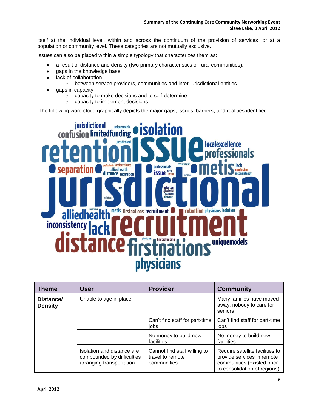itself at the individual level, within and across the continuum of the provision of services, or at a population or community level. These categories are not mutually exclusive.

Issues can also be placed within a simple typology that characterizes them as:

- a result of distance and density (two primary characteristics of rural communities);  $\bullet$
- $\bullet$ gaps in the knowledge base;
- lack of collaboration  $\bullet$ 
	- o between service providers, communities and inter-jurisdictional entities
- gaps in capacity
	- o capacity to make decisions and to self-determine
	- o capacity to implement decisions

The following word cloud graphically depicts the major gaps, issues, barriers, and realities identified.



| <b>Theme</b>                | User                                                                                 | <b>Provider</b>                                                 | <b>Community</b>                                                                                                            |
|-----------------------------|--------------------------------------------------------------------------------------|-----------------------------------------------------------------|-----------------------------------------------------------------------------------------------------------------------------|
| Distance/<br><b>Density</b> | Unable to age in place                                                               |                                                                 | Many families have moved<br>away, nobody to care for<br>seniors                                                             |
|                             |                                                                                      | Can't find staff for part-time<br>iobs                          | Can't find staff for part-time<br>iobs                                                                                      |
|                             |                                                                                      | No money to build new<br>facilities                             | No money to build new<br>facilities                                                                                         |
|                             | Isolation and distance are<br>compounded by difficulties<br>arranging transportation | Cannot find staff willing to<br>travel to remote<br>communities | Require satellite facilities to<br>provide services in remote<br>communities (existed prior<br>to consolidation of regions) |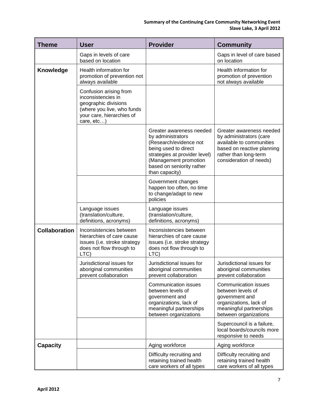| <b>Theme</b>         | <b>User</b>                                                                                                                                   | <b>Provider</b>                                                                                                                                                                                          | <b>Community</b>                                                                                                                                                  |
|----------------------|-----------------------------------------------------------------------------------------------------------------------------------------------|----------------------------------------------------------------------------------------------------------------------------------------------------------------------------------------------------------|-------------------------------------------------------------------------------------------------------------------------------------------------------------------|
|                      | Gaps in levels of care<br>based on location                                                                                                   |                                                                                                                                                                                                          | Gaps in level of care based<br>on location                                                                                                                        |
| Knowledge            | Health information for<br>promotion of prevention not<br>always available                                                                     |                                                                                                                                                                                                          | Health information for<br>promotion of prevention<br>not always available                                                                                         |
|                      | Confusion arising from<br>inconsistencies in<br>geographic divisions<br>(where you live, who funds<br>your care, hierarchies of<br>care, etc) |                                                                                                                                                                                                          |                                                                                                                                                                   |
|                      |                                                                                                                                               | Greater awareness needed<br>by administrators<br>(Research/evidence not<br>being used to direct<br>strategies at provider level)<br>(Management promotion<br>based on seniority rather<br>than capacity) | Greater awareness needed<br>by administrators (care<br>available to communities<br>based on reactive planning<br>rather than long-term<br>consideration of needs) |
|                      |                                                                                                                                               | Government changes<br>happen too often, no time<br>to change/adapt to new<br>policies                                                                                                                    |                                                                                                                                                                   |
|                      | Language issues<br>(translation/culture,<br>definitions, acronyms)                                                                            | Language issues<br>(translation/culture,<br>definitions, acronyms)                                                                                                                                       |                                                                                                                                                                   |
| <b>Collaboration</b> | Inconsistencies between<br>hierarchies of care cause<br>issues (i.e. stroke strategy<br>does not flow through to<br>LTC)                      | Inconsistencies between<br>hierarchies of care cause<br>issues (i.e. stroke strategy<br>does not flow through to<br>LTC)                                                                                 |                                                                                                                                                                   |
|                      | Jurisdictional issues for<br>aboriginal communities<br>prevent collaboration                                                                  | Jurisdictional issues for<br>aboriginal communities<br>prevent collaboration                                                                                                                             | Jurisdictional issues for<br>aboriginal communities<br>prevent collaboration                                                                                      |
|                      |                                                                                                                                               | <b>Communication issues</b><br>between levels of<br>government and<br>organizations, lack of<br>meaningful partnerships<br>between organizations                                                         | <b>Communication issues</b><br>between levels of<br>government and<br>organizations, lack of<br>meaningful partnerships<br>between organizations                  |
|                      |                                                                                                                                               |                                                                                                                                                                                                          | Supercouncil is a failure,<br>local boards/councils more<br>responsive to needs                                                                                   |
| <b>Capacity</b>      |                                                                                                                                               | Aging workforce                                                                                                                                                                                          | Aging workforce                                                                                                                                                   |
|                      |                                                                                                                                               | Difficulty recruiting and<br>retaining trained health<br>care workers of all types                                                                                                                       | Difficulty recruiting and<br>retaining trained health<br>care workers of all types                                                                                |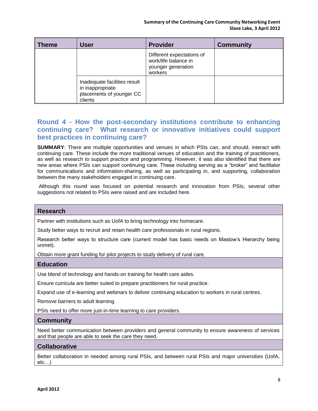| $\sf I$ Theme | <b>User</b>                                                                             | <b>Provider</b>                                                                    | <b>Community</b> |
|---------------|-----------------------------------------------------------------------------------------|------------------------------------------------------------------------------------|------------------|
|               |                                                                                         | Different expectations of<br>work/life balance in<br>younger generation<br>workers |                  |
|               | Inadequate facilities result<br>in inappropriate<br>placements of younger CC<br>clients |                                                                                    |                  |

## <span id="page-9-0"></span>**Round 4 - How the post-secondary institutions contribute to enhancing continuing care? What research or innovative initiatives could support best practices in continuing care?**

**SUMMARY**: There are multiple opportunities and venues in which PSIs can, and should, interact with continuing care. These include the more traditional venues of education and the training of practitioners, as well as research to support practice and programming. However, it was also identified that there are new areas where PSIs can support continuing care. These including serving as a "broker" and facilitator for communications and information-sharing, as well as participating in, and supporting, collaboration between the many stakeholders engaged in continuing care.

Although this round was focused on potential research and innovation from PSIs, several other suggestions not related to PSIs were raised and are included here.

#### **Research**

Partner with institutions such as UofA to bring technology into homecare.

Study better ways to recruit and retain health care professionals in rural regions.

Research better ways to structure care (current model has basic needs on Maslow's Hierarchy being unmet).

Obtain more grant funding for pilot projects to study delivery of rural care.

#### **Education**

Use blend of technology and hands-on training for health care aides.

Ensure curricula are better suited to prepare practitioners for rural practice.

Expand use of e-learning and webinars to deliver continuing education to workers in rural centres.

Remove barriers to adult learning.

PSIs need to offer more just-in-time learning to care providers.

#### **Community**

Need better communication between providers and general community to ensure awareness of services and that people are able to seek the care they need.

#### **Collaborative**

Better collaboration in needed among rural PSIs, and between rural PSIs and major universities (UofA, etc…)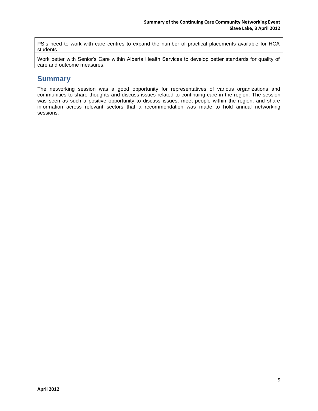PSIs need to work with care centres to expand the number of practical placements available for HCA students.

Work better with Senior's Care within Alberta Health Services to develop better standards for quality of care and outcome measures.

# <span id="page-10-0"></span>**Summary**

The networking session was a good opportunity for representatives of various organizations and communities to share thoughts and discuss issues related to continuing care in the region. The session was seen as such a positive opportunity to discuss issues, meet people within the region, and share information across relevant sectors that a recommendation was made to hold annual networking sessions.